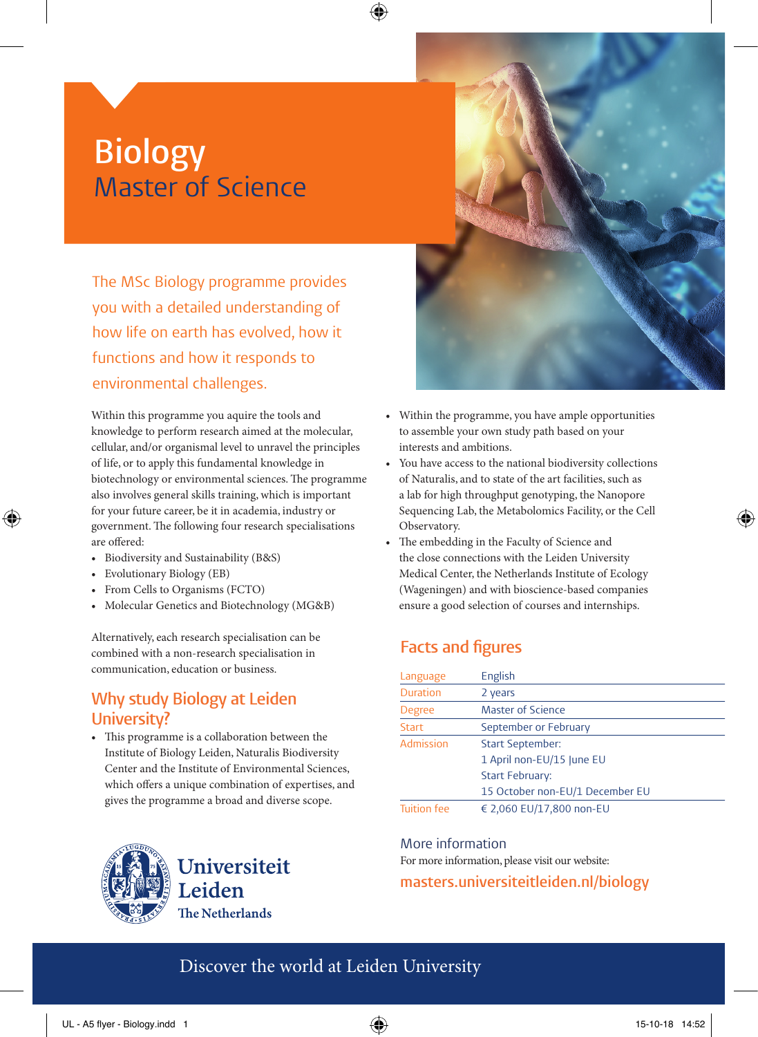# **Biology** Master of Science

The MSc Biology programme provides you with a detailed understanding of how life on earth has evolved, how it functions and how it responds to environmental challenges.

Within this programme you aquire the tools and knowledge to perform research aimed at the molecular, cellular, and/or organismal level to unravel the principles of life, or to apply this fundamental knowledge in biotechnology or environmental sciences. The programme also involves general skills training, which is important for your future career, be it in academia, industry or government. The following four research specialisations are offered:

- Biodiversity and Sustainability (B&S)
- Evolutionary Biology (EB)

⊕

- From Cells to Organisms (FCTO)
- Molecular Genetics and Biotechnology (MG&B)

Alternatively, each research specialisation can be combined with a non-research specialisation in communication, education or business.

#### **Why study Biology at Leiden University?**

• This programme is a collaboration between the Institute of Biology Leiden, Naturalis Biodiversity Center and the Institute of Environmental Sciences, which offers a unique combination of expertises, and gives the programme a broad and diverse scope.





- Within the programme, you have ample opportunities to assemble your own study path based on your interests and ambitions.
- You have access to the national biodiversity collections of Naturalis, and to state of the art facilities, such as a lab for high throughput genotyping, the Nanopore Sequencing Lab, the Metabolomics Facility, or the Cell Observatory.
- The embedding in the Faculty of Science and the close connections with the Leiden University Medical Center, the Netherlands Institute of Ecology (Wageningen) and with bioscience-based companies ensure a good selection of courses and internships.

### **Facts and figures**

| Language           | English                         |
|--------------------|---------------------------------|
| <b>Duration</b>    | 2 years                         |
| <b>Degree</b>      | <b>Master of Science</b>        |
| <b>Start</b>       | September or February           |
| Admission          | <b>Start September:</b>         |
|                    | 1 April non-EU/15 June EU       |
|                    | <b>Start February:</b>          |
|                    | 15 October non-EU/1 December EU |
| <b>Tuition fee</b> | € 2,060 EU/17,800 non-EU        |

More information

For more information, please visit our website:

**masters.universiteitleiden.nl/biology**

### Discover the world at Leiden University

⊕